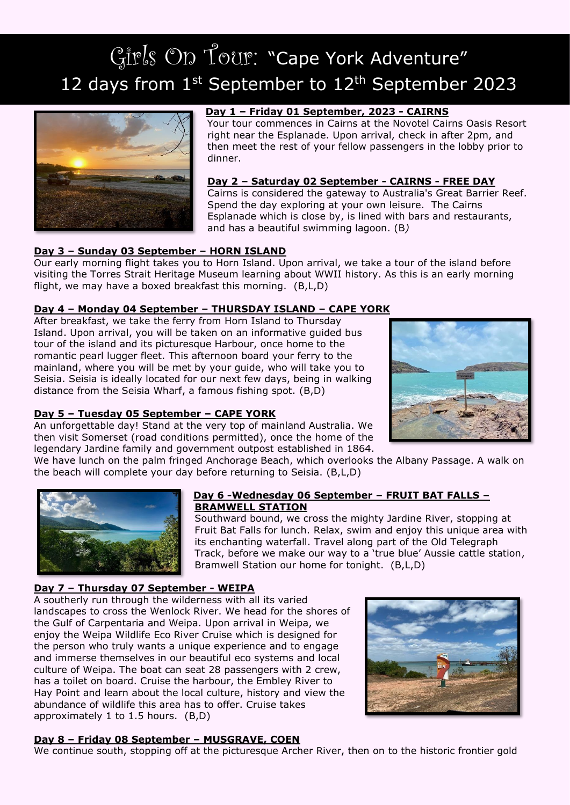# Girls On Tour: "Cape York Adventure" 12 days from  $1^{\text{st}}$  September to  $12^{\text{th}}$  September 2023



## **Day 1 – Friday 01 September, 2023 - CAIRNS**

Your tour commences in Cairns at the Novotel Cairns Oasis Resort right near the Esplanade. Upon arrival, check in after 2pm, and then meet the rest of your fellow passengers in the lobby prior to dinner.

#### **Day 2 – Saturday 02 September - CAIRNS - FREE DAY**

Cairns is considered the gateway to Australia's Great Barrier Reef. Spend the day exploring at your own leisure. The Cairns Esplanade which is close by, is lined with bars and restaurants, and has a beautiful swimming lagoon. (B*)*

#### **Day 3 – Sunday 03 September – HORN ISLAND**

Our early morning flight takes you to Horn Island. Upon arrival, we take a tour of the island before visiting the Torres Strait Heritage Museum learning about WWII history. As this is an early morning flight, we may have a boxed breakfast this morning. (B,L,D)

## **Day 4 – Monday 04 September – THURSDAY ISLAND – CAPE YORK**

After breakfast, we take the ferry from Horn Island to Thursday Island. Upon arrival, you will be taken on an informative guided bus tour of the island and its picturesque Harbour, once home to the romantic pearl lugger fleet. This afternoon board your ferry to the mainland, where you will be met by your guide, who will take you to Seisia. Seisia is ideally located for our next few days, being in walking distance from the Seisia Wharf, a famous fishing spot. (B,D)



#### **Day 5 – Tuesday 05 September – CAPE YORK**

An unforgettable day! Stand at the very top of mainland Australia. We then visit Somerset (road conditions permitted), once the home of the legendary Jardine family and government outpost established in 1864.

We have lunch on the palm fringed Anchorage Beach, which overlooks the Albany Passage. A walk on the beach will complete your day before returning to Seisia. (B,L,D)



#### **Day 6 -Wednesday 06 September – FRUIT BAT FALLS – BRAMWELL STATION**

Southward bound, we cross the mighty Jardine River, stopping at Fruit Bat Falls for lunch. Relax, swim and enjoy this unique area with its enchanting waterfall. Travel along part of the Old Telegraph Track, before we make our way to a 'true blue' Aussie cattle station, Bramwell Station our home for tonight. (B,L,D)

#### **Day 7 – Thursday 07 September - WEIPA**

A southerly run through the wilderness with all its varied landscapes to cross the Wenlock River. We head for the shores of the Gulf of Carpentaria and Weipa. Upon arrival in Weipa, we enjoy the Weipa Wildlife Eco River Cruise which is designed for the person who truly wants a unique experience and to engage and immerse themselves in our beautiful eco systems and local culture of Weipa. The boat can seat 28 passengers with 2 crew, has a toilet on board. Cruise the harbour, the Embley River to Hay Point and learn about the local culture, history and view the abundance of wildlife this area has to offer. Cruise takes approximately 1 to 1.5 hours. (B,D)



### **Day 8 – Friday 08 September – MUSGRAVE, COEN**

We continue south, stopping off at the picturesque Archer River, then on to the historic frontier gold